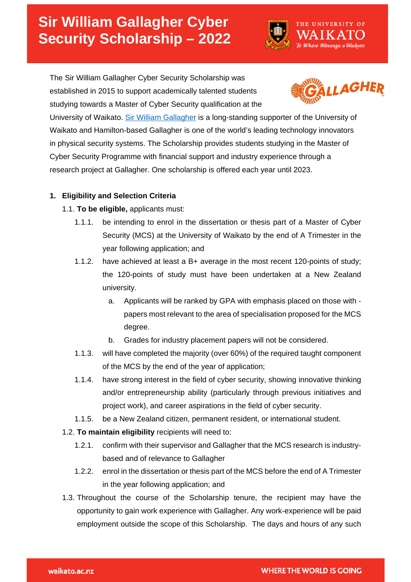# **Sir William Gallagher Cyber Security Scholarship – 2022**



The Sir William Gallagher Cyber Security Scholarship was established in 2015 to support academically talented students studying towards a Master of Cyber Security qualification at the



University of Waikato. [Sir William Gallagher](https://www.waikato.ac.nz/foundation/our-donors/gallagher-support) is a long-standing supporter of the University of Waikato and Hamilton-based Gallagher is one of the world's leading technology innovators in physical security systems. The Scholarship provides students studying in the Master of Cyber Security Programme with financial support and industry experience through a research project at Gallagher. One scholarship is offered each year until 2023.

# **1. Eligibility and Selection Criteria**

- 1.1. **To be eligible,** applicants must:
	- 1.1.1. be intending to enrol in the dissertation or thesis part of a Master of Cyber Security (MCS) at the University of Waikato by the end of A Trimester in the year following application; and
	- 1.1.2. have achieved at least a B+ average in the most recent 120-points of study; the 120-points of study must have been undertaken at a New Zealand university.
		- a. Applicants will be ranked by GPA with emphasis placed on those with papers most relevant to the area of specialisation proposed for the MCS degree.
		- b. Grades for industry placement papers will not be considered.
	- 1.1.3. will have completed the majority (over 60%) of the required taught component of the MCS by the end of the year of application;
	- 1.1.4. have strong interest in the field of cyber security, showing innovative thinking and/or entrepreneurship ability (particularly through previous initiatives and project work), and career aspirations in the field of cyber security.
	- 1.1.5. be a New Zealand citizen, permanent resident, or international student.
- 1.2. **To maintain eligibility** recipients will need to:
	- 1.2.1. confirm with their supervisor and Gallagher that the MCS research is industrybased and of relevance to Gallagher
	- 1.2.2. enrol in the dissertation or thesis part of the MCS before the end of A Trimester in the year following application; and
- 1.3. Throughout the course of the Scholarship tenure, the recipient may have the opportunity to gain work experience with Gallagher. Any work-experience will be paid employment outside the scope of this Scholarship. The days and hours of any such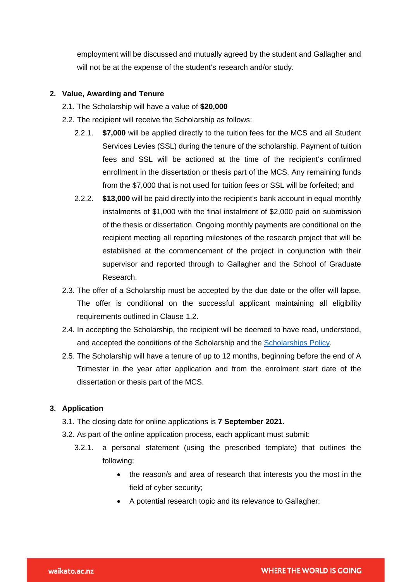employment will be discussed and mutually agreed by the student and Gallagher and will not be at the expense of the student's research and/or study.

#### **2. Value, Awarding and Tenure**

- 2.1. The Scholarship will have a value of **\$20,000**
- 2.2. The recipient will receive the Scholarship as follows:
	- 2.2.1. **\$7,000** will be applied directly to the tuition fees for the MCS and all Student Services Levies (SSL) during the tenure of the scholarship. Payment of tuition fees and SSL will be actioned at the time of the recipient's confirmed enrollment in the dissertation or thesis part of the MCS. Any remaining funds from the \$7,000 that is not used for tuition fees or SSL will be forfeited; and
	- 2.2.2. **\$13,000** will be paid directly into the recipient's bank account in equal monthly instalments of \$1,000 with the final instalment of \$2,000 paid on submission of the thesis or dissertation. Ongoing monthly payments are conditional on the recipient meeting all reporting milestones of the research project that will be established at the commencement of the project in conjunction with their supervisor and reported through to Gallagher and the School of Graduate Research.
- 2.3. The offer of a Scholarship must be accepted by the due date or the offer will lapse. The offer is conditional on the successful applicant maintaining all eligibility requirements outlined in Clause 1.2.
- 2.4. In accepting the Scholarship, the recipient will be deemed to have read, understood, and accepted the conditions of the Scholarship and the [Scholarships Policy.](https://www.waikato.ac.nz/official-info/index/docs/scholarships-policy)
- 2.5. The Scholarship will have a tenure of up to 12 months, beginning before the end of A Trimester in the year after application and from the enrolment start date of the dissertation or thesis part of the MCS.

#### **3. Application**

- 3.1. The closing date for online applications is **7 September 2021.**
- 3.2. As part of the online application process, each applicant must submit:
	- 3.2.1. a personal statement (using the prescribed template) that outlines the following:
		- the reason/s and area of research that interests you the most in the field of cyber security;
		- A potential research topic and its relevance to Gallagher;